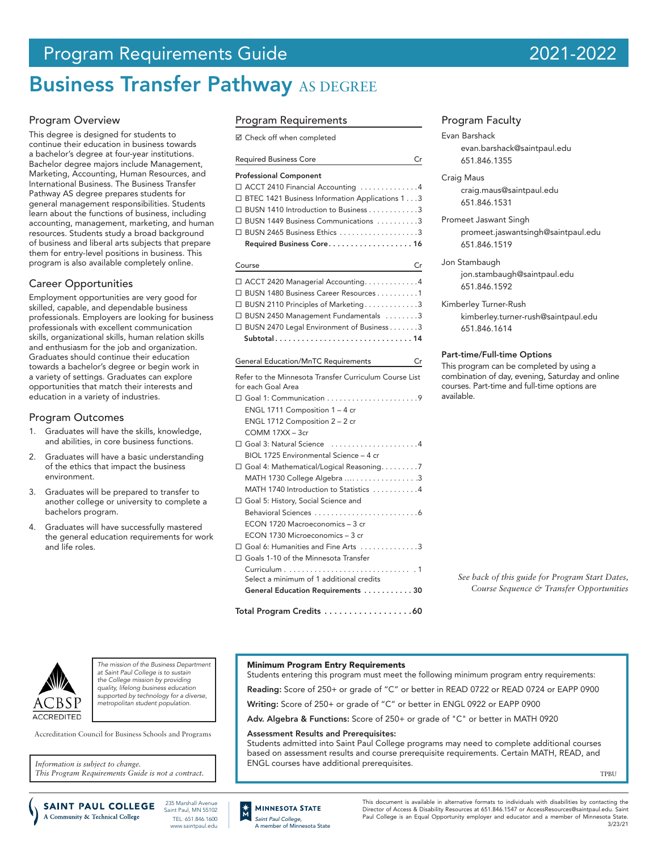# Program Requirements Guide 2021-2022

# **Business Transfer Pathway AS DEGREE**

# Program Overview

This degree is designed for students to continue their education in business towards a bachelor's degree at four-year institutions. Bachelor degree majors include Management, Marketing, Accounting, Human Resources, and International Business. The Business Transfer Pathway AS degree prepares students for general management responsibilities. Students learn about the functions of business, including accounting, management, marketing, and human resources. Students study a broad background of business and liberal arts subjects that prepare them for entry-level positions in business. This program is also available completely online.

# Career Opportunities

Employment opportunities are very good for skilled, capable, and dependable business professionals. Employers are looking for business professionals with excellent communication skills, organizational skills, human relation skills and enthusiasm for the job and organization. Graduates should continue their education towards a bachelor's degree or begin work in a variety of settings. Graduates can explore opportunities that match their interests and education in a variety of industries.

# Program Outcomes

- 1. Graduates will have the skills, knowledge, and abilities, in core business functions.
- 2. Graduates will have a basic understanding of the ethics that impact the business environment.
- 3. Graduates will be prepared to transfer to another college or university to complete a bachelors program.
- Graduates will have successfully mastered the general education requirements for work and life roles.

# Program Requirements

|  | ⊠ Check off when completed |  |  |  |  |
|--|----------------------------|--|--|--|--|
|--|----------------------------|--|--|--|--|

| <b>Required Business Core</b>                    | Cr |
|--------------------------------------------------|----|
| <b>Professional Component</b>                    |    |
| □ ACCT 2410 Financial Accounting 4               |    |
| □ BTEC 1421 Business Information Applications 13 |    |
| □ BUSN 1410 Introduction to Business 3           |    |
| □ BUSN 1449 Business Communications 3            |    |
|                                                  |    |
| Required Business Core 16                        |    |

### Course Created the Created Created and Created Created and Created and Created and Created and Created and Cre

|  | □ ACCT 2420 Managerial Accounting4          |
|--|---------------------------------------------|
|  | □ BUSN 1480 Business Career Resources 1     |
|  | □ BUSN 2110 Principles of Marketing3        |
|  | □ BUSN 2450 Management Fundamentals 3       |
|  | □ BUSN 2470 Legal Environment of Business 3 |
|  | Subtotal14                                  |
|  |                                             |

| <b>General Education/MnTC Requirements</b><br>Cr                                                            |  |
|-------------------------------------------------------------------------------------------------------------|--|
| Refer to the Minnesota Transfer Curriculum Course List<br>for each Goal Area                                |  |
| ENGL 1711 Composition $1 - 4$ cr<br>ENGL 1712 Composition 2 - 2 cr<br>$COMM$ 17XX $-$ 3 $cr$                |  |
| □ Goal 3: Natural Science 4<br>BIOL 1725 Environmental Science - 4 cr                                       |  |
| $\Box$ Goal 4: Mathematical/Logical Reasoning7<br>MATH 1740 Introduction to Statistics 4                    |  |
| □ Goal 5: History, Social Science and<br>ECON 1720 Macroeconomics - 3 cr<br>ECON 1730 Microeconomics - 3 cr |  |
| □ Goal 6: Humanities and Fine Arts 3<br>□ Goals 1-10 of the Minnesota Transfer                              |  |
| Select a minimum of 1 additional credits<br>General Education Requirements 30                               |  |

Total Program Credits . . . . . . . . . . . . . . . . . 60

Minimum Program Entry Requirements

Assessment Results and Prerequisites:

ENGL courses have additional prerequisites.

Students entering this program must meet the following minimum program entry requirements: Reading: Score of 250+ or grade of "C" or better in READ 0722 or READ 0724 or EAPP 0900

Students admitted into Saint Paul College programs may need to complete additional courses based on assessment results and course prerequisite requirements. Certain MATH, READ, and

Writing: Score of 250+ or grade of "C" or better in ENGL 0922 or EAPP 0900 Adv. Algebra & Functions: Score of 250+ or grade of "C" or better in MATH 0920

# Program Faculty

Evan Barshack evan.barshack@saintpaul.edu 651.846.1355

Craig Maus [craig.maus@saintpaul.edu](mailto:craig.maus%40saintpaul.edu?subject=) 651.846.1531

Promeet Jaswant Singh promeet.jaswantsingh@saintpaul.edu 651.846.1519

Jon Stambaugh jon.stambaugh@saintpaul.edu 651.846.1592

Kimberley Turner-Rush kimberley.turner-rush@saintpaul.edu 651.846.1614

# Part-time/Full-time Options

This program can be completed by using a combination of day, evening, Saturday and online courses. Part-time and full-time options are available.

*See back of this guide for Program Start Dates, Course Sequence & Transfer Opportunities*

**TPRU** 



*The mission of the Business Department at Saint Paul College is to sustain the College mission by providing quality, lifelong business education supported by technology for a diverse, metropolitan student population.*

Accreditation Council for Business Schools and Programs

*Information is subject to change. This Program Requirements Guide is not a contract.*

A Community & Technical College

235 Marshall Avenue **SAINT PAUL COLLEGE** Saint Paul, MN 55102 TEL: 651.846.1600 www.saintpaul.edu



This document is available in alternative formats to individuals with disabilities by contacting the Director of Access & Disability Resources at 651.846.1547 or AccessResources@saintpaul.edu. Saint Paul College is an Equal Opportunity employer and educator and a member of Minnesota State. 3/23/21